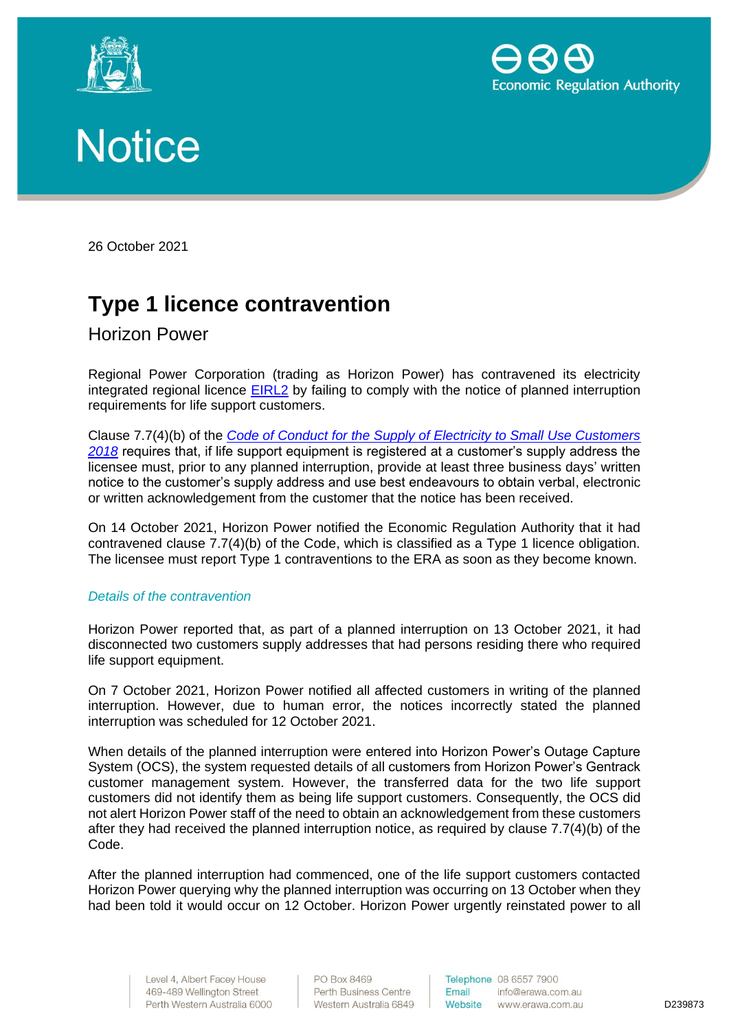





26 October 2021

# **Type 1 licence contravention**

Horizon Power

Regional Power Corporation (trading as Horizon Power) has contravened its electricity integrated regional licence [EIRL2](https://www.erawa.com.au/cproot/19293/2/EIRL02%20Regional%20Power%20Corporation%20(Horizon%20Power)%20effective%202018.07.01.pdf) by failing to comply with the notice of planned interruption requirements for life support customers.

Clause 7.7(4)(b) of the *[Code of Conduct for the Supply of Electricity to Small Use Customers](https://www.erawa.com.au/electricity/electricity-licensing/code-of-conduct-for-the-supply-of-electricity-to-small-use-customers)  [2018](https://www.erawa.com.au/electricity/electricity-licensing/code-of-conduct-for-the-supply-of-electricity-to-small-use-customers)* requires that, if life support equipment is registered at a customer's supply address the licensee must, prior to any planned interruption, provide at least three business days' written notice to the customer's supply address and use best endeavours to obtain verbal, electronic or written acknowledgement from the customer that the notice has been received.

On 14 October 2021, Horizon Power notified the Economic Regulation Authority that it had contravened clause 7.7(4)(b) of the Code, which is classified as a Type 1 licence obligation. The licensee must report Type 1 contraventions to the ERA as soon as they become known.

## *Details of the contravention*

Horizon Power reported that, as part of a planned interruption on 13 October 2021, it had disconnected two customers supply addresses that had persons residing there who required life support equipment.

On 7 October 2021, Horizon Power notified all affected customers in writing of the planned interruption. However, due to human error, the notices incorrectly stated the planned interruption was scheduled for 12 October 2021.

When details of the planned interruption were entered into Horizon Power's Outage Capture System (OCS), the system requested details of all customers from Horizon Power's Gentrack customer management system. However, the transferred data for the two life support customers did not identify them as being life support customers. Consequently, the OCS did not alert Horizon Power staff of the need to obtain an acknowledgement from these customers after they had received the planned interruption notice, as required by clause 7.7(4)(b) of the Code.

After the planned interruption had commenced, one of the life support customers contacted Horizon Power querying why the planned interruption was occurring on 13 October when they had been told it would occur on 12 October. Horizon Power urgently reinstated power to all